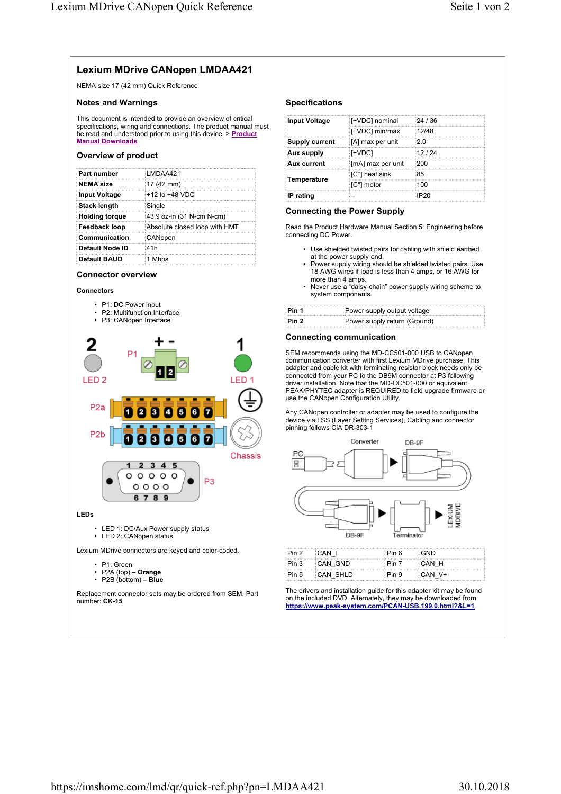# **Lexium MDrive CANopen LMDAA421**

NEMA size 17 (42 mm) Quick Reference

# **Notes and Warnings**

This document is intended to provide an overview of critical specifications, wiring and connections. The product manual must be read and understood prior to using this device. > **Product Manual Downloads**

# **Overview of product**

| Part number            | I MDAA421                     |
|------------------------|-------------------------------|
| NEMA size              | 17 (42 mm)                    |
| Input Voltage          | $+12$ to $+48$ VDC            |
| <b>Stack length</b>    | Single                        |
| Holding torque         | 43.9 oz-in (31 N-cm N-cm)     |
| Feedback loop!         | Absolute closed loop with HMT |
| Communication          | CANopen                       |
| <b>Default Node ID</b> | :41h                          |
| Default BAUD           | 1 Mbps                        |



# **Specifications**

| Input Voltage      | [+VDC] nominal    | 24 / 36     |
|--------------------|-------------------|-------------|
|                    | [+VDC] min/max    | 12/48       |
| Supply current     | [A] max per unit  | 2.0         |
| Aux supply         | i[+VDC]           | 12/24       |
| Aux current        | [mA] max per unit | 200         |
| <b>Temperature</b> | [C°] heat sink    | :85         |
|                    | ∶[C°] motor       | 100         |
| <b>IP</b> rating   |                   | <b>IP20</b> |

# **Connecting the Power Supply**

Read the Product Hardware Manual Section 5: Engineering before connecting DC Power.

- Use shielded twisted pairs for cabling with shield earthed at the power supply end.
- Power supply wiring should be shielded twisted pairs. Use 18 AWG wires if load is less than 4 amps, or 16 AWG for more than 4 amps.
- Never use a "daisy-chain" power supply wiring scheme to system components.

| Pin 1 | Power supply output voltage  |
|-------|------------------------------|
| Pin 2 | Power supply return (Ground) |

# **Connecting communication**

SEM recommends using the MD-CC501-000 USB to CANopen communication converter with first Lexium MDrive purchase. This adapter and cable kit with terminating resistor block needs only be connected from your PC to the DB9M connector at P3 following driver installation. Note that the MD-CC501-000 or equivalent PEAK/PHYTEC adapter is REQUIRED to field upgrade firmware or use the CANopen Configuration Utility.

Any CANopen controller or adapter may be used to configure the device via LSS (Layer Setting Services), Cabling and connector pinning follows CIA DR-303-1



| Pin 2 CAN L |                | $Pin 6$ $GND$    |  |
|-------------|----------------|------------------|--|
|             | Pin 3 CAN GND  | $Pin 7$ $CAN H$  |  |
|             | Pin 5 CAN SHLD | $Pin 9$ $CAN V+$ |  |

The drivers and installation guide for this adapter kit may be found on the included DVD. Alternately, they may be downloaded from **https://www.peak-system.com/PCAN-USB.199.0.html?&L=1**